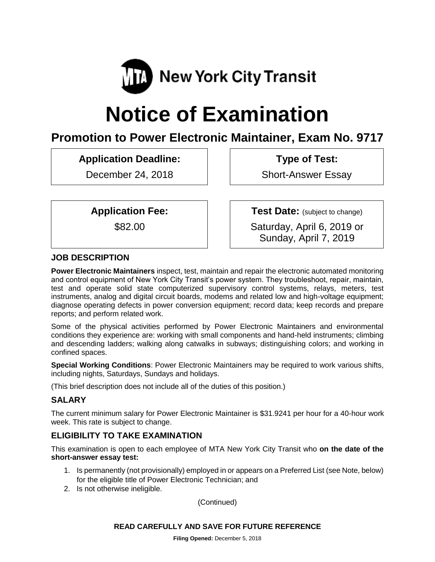

# **Notice of Examination**

# **Promotion to Power Electronic Maintainer, Exam No. 9717**

**Application Deadline:**

December 24, 2018

**Type of Test:** 

Short-Answer Essay

**Application Fee:**

\$82.00

**Test Date:** (subject to change)

Saturday, April 6, 2019 or Sunday, April 7, 2019

# **JOB DESCRIPTION**

**Power Electronic Maintainers** inspect, test, maintain and repair the electronic automated monitoring and control equipment of New York City Transit's power system. They troubleshoot, repair, maintain, test and operate solid state computerized supervisory control systems, relays, meters, test instruments, analog and digital circuit boards, modems and related low and high-voltage equipment; diagnose operating defects in power conversion equipment; record data; keep records and prepare reports; and perform related work.

Some of the physical activities performed by Power Electronic Maintainers and environmental conditions they experience are: working with small components and hand-held instruments; climbing and descending ladders; walking along catwalks in subways; distinguishing colors; and working in confined spaces.

**Special Working Conditions**: Power Electronic Maintainers may be required to work various shifts, including nights, Saturdays, Sundays and holidays.

(This brief description does not include all of the duties of this position.)

#### **SALARY**

The current minimum salary for Power Electronic Maintainer is \$31.9241 per hour for a 40-hour work week. This rate is subject to change.

# **ELIGIBILITY TO TAKE EXAMINATION**

This examination is open to each employee of MTA New York City Transit who **on the date of the short-answer essay test:**

- 1. Is permanently (not provisionally) employed in or appears on a Preferred List (see Note, below) for the eligible title of Power Electronic Technician; and
- 2. Is not otherwise ineligible.

(Continued)

#### **READ CAREFULLY AND SAVE FOR FUTURE REFERENCE**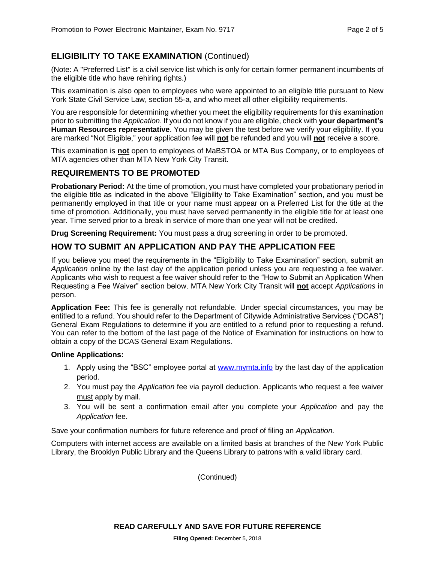### **ELIGIBILITY TO TAKE EXAMINATION** (Continued)

(Note: A "Preferred List" is a civil service list which is only for certain former permanent incumbents of the eligible title who have rehiring rights.)

This examination is also open to employees who were appointed to an eligible title pursuant to New York State Civil Service Law, section 55-a, and who meet all other eligibility requirements.

You are responsible for determining whether you meet the eligibility requirements for this examination prior to submitting the *Application*. If you do not know if you are eligible, check with **your department's Human Resources representative**. You may be given the test before we verify your eligibility. If you are marked "Not Eligible," your application fee will **not** be refunded and you will **not** receive a score.

This examination is **not** open to employees of MaBSTOA or MTA Bus Company, or to employees of MTA agencies other than MTA New York City Transit.

#### **REQUIREMENTS TO BE PROMOTED**

**Probationary Period:** At the time of promotion, you must have completed your probationary period in the eligible title as indicated in the above "Eligibility to Take Examination" section, and you must be permanently employed in that title or your name must appear on a Preferred List for the title at the time of promotion. Additionally, you must have served permanently in the eligible title for at least one year. Time served prior to a break in service of more than one year will not be credited.

**Drug Screening Requirement:** You must pass a drug screening in order to be promoted.

#### **HOW TO SUBMIT AN APPLICATION AND PAY THE APPLICATION FEE**

If you believe you meet the requirements in the "Eligibility to Take Examination" section, submit an *Application* online by the last day of the application period unless you are requesting a fee waiver. Applicants who wish to request a fee waiver should refer to the "How to Submit an Application When Requesting a Fee Waiver" section below. MTA New York City Transit will **not** accept *Applications* in person.

**Application Fee:** This fee is generally not refundable. Under special circumstances, you may be entitled to a refund. You should refer to the Department of Citywide Administrative Services ("DCAS") General Exam Regulations to determine if you are entitled to a refund prior to requesting a refund. You can refer to the bottom of the last page of the Notice of Examination for instructions on how to obtain a copy of the DCAS General Exam Regulations.

#### **Online Applications:**

- 1. Apply using the "BSC" employee portal at [www.mymta.info](http://www.mymta.info/) by the last day of the application period.
- 2. You must pay the *Application* fee via payroll deduction. Applicants who request a fee waiver must apply by mail.
- 3. You will be sent a confirmation email after you complete your *Application* and pay the *Application* fee.

Save your confirmation numbers for future reference and proof of filing an *Application.*

Computers with internet access are available on a limited basis at branches of the New York Public Library, the Brooklyn Public Library and the Queens Library to patrons with a valid library card.

(Continued)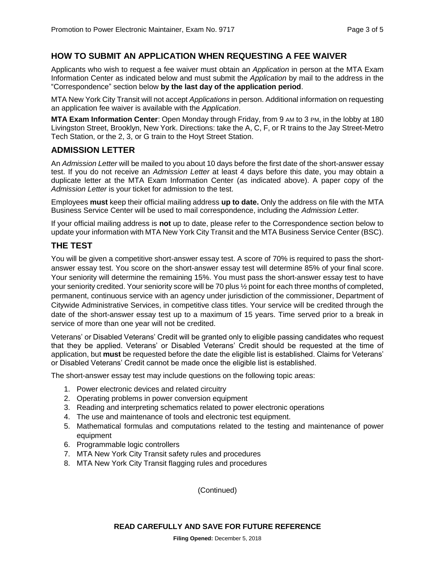#### **HOW TO SUBMIT AN APPLICATION WHEN REQUESTING A FEE WAIVER**

Applicants who wish to request a fee waiver must obtain an *Application* in person at the MTA Exam Information Center as indicated below and must submit the *Application* by mail to the address in the "Correspondence" section below **by the last day of the application period**.

MTA New York City Transit will not accept *Applications* in person. Additional information on requesting an application fee waiver is available with the *Application*.

**MTA Exam Information Center**: Open Monday through Friday, from 9 AM to 3 PM, in the lobby at 180 Livingston Street, Brooklyn, New York. Directions: take the A, C, F, or R trains to the Jay Street-Metro Tech Station, or the 2, 3, or G train to the Hoyt Street Station.

#### **ADMISSION LETTER**

An *Admission Letter* will be mailed to you about 10 days before the first date of the short-answer essay test. If you do not receive an *Admission Letter* at least 4 days before this date, you may obtain a duplicate letter at the MTA Exam Information Center (as indicated above). A paper copy of the *Admission Letter* is your ticket for admission to the test.

Employees **must** keep their official mailing address **up to date.** Only the address on file with the MTA Business Service Center will be used to mail correspondence, including the *Admission Letter.*

If your official mailing address is **not** up to date, please refer to the Correspondence section below to update your information with MTA New York City Transit and the MTA Business Service Center (BSC).

#### **THE TEST**

You will be given a competitive short-answer essay test. A score of 70% is required to pass the shortanswer essay test. You score on the short-answer essay test will determine 85% of your final score. Your seniority will determine the remaining 15%. You must pass the short-answer essay test to have your seniority credited. Your seniority score will be 70 plus ½ point for each three months of completed, permanent, continuous service with an agency under jurisdiction of the commissioner, Department of Citywide Administrative Services, in competitive class titles. Your service will be credited through the date of the short-answer essay test up to a maximum of 15 years. Time served prior to a break in service of more than one year will not be credited.

Veterans' or Disabled Veterans' Credit will be granted only to eligible passing candidates who request that they be applied. Veterans' or Disabled Veterans' Credit should be requested at the time of application, but **must** be requested before the date the eligible list is established. Claims for Veterans' or Disabled Veterans' Credit cannot be made once the eligible list is established.

The short-answer essay test may include questions on the following topic areas:

- 1. Power electronic devices and related circuitry
- 2. Operating problems in power conversion equipment
- 3. Reading and interpreting schematics related to power electronic operations
- 4. The use and maintenance of tools and electronic test equipment.
- 5. Mathematical formulas and computations related to the testing and maintenance of power equipment
- 6. Programmable logic controllers
- 7. MTA New York City Transit safety rules and procedures
- 8. MTA New York City Transit flagging rules and procedures

(Continued)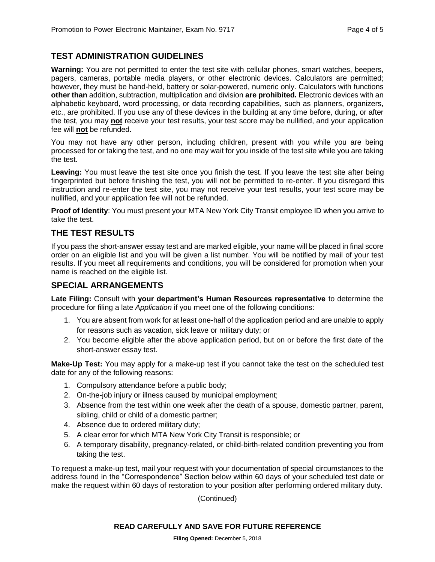#### **TEST ADMINISTRATION GUIDELINES**

**Warning:** You are not permitted to enter the test site with cellular phones, smart watches, beepers, pagers, cameras, portable media players, or other electronic devices. Calculators are permitted; however, they must be hand-held, battery or solar-powered, numeric only. Calculators with functions **other than** addition, subtraction, multiplication and division **are prohibited.** Electronic devices with an alphabetic keyboard, word processing, or data recording capabilities, such as planners, organizers, etc., are prohibited. If you use any of these devices in the building at any time before, during, or after the test, you may **not** receive your test results, your test score may be nullified, and your application fee will **not** be refunded.

You may not have any other person, including children, present with you while you are being processed for or taking the test, and no one may wait for you inside of the test site while you are taking the test.

**Leaving:** You must leave the test site once you finish the test. If you leave the test site after being fingerprinted but before finishing the test, you will not be permitted to re-enter. If you disregard this instruction and re-enter the test site, you may not receive your test results, your test score may be nullified, and your application fee will not be refunded.

**Proof of Identity**: You must present your MTA New York City Transit employee ID when you arrive to take the test.

#### **THE TEST RESULTS**

If you pass the short-answer essay test and are marked eligible, your name will be placed in final score order on an eligible list and you will be given a list number. You will be notified by mail of your test results. If you meet all requirements and conditions, you will be considered for promotion when your name is reached on the eligible list.

#### **SPECIAL ARRANGEMENTS**

**Late Filing:** Consult with **your department's Human Resources representative** to determine the procedure for filing a late *Application* if you meet one of the following conditions:

- 1. You are absent from work for at least one-half of the application period and are unable to apply for reasons such as vacation, sick leave or military duty; or
- 2. You become eligible after the above application period, but on or before the first date of the short-answer essay test.

**Make-Up Test:** You may apply for a make-up test if you cannot take the test on the scheduled test date for any of the following reasons:

- 1. Compulsory attendance before a public body;
- 2. On-the-job injury or illness caused by municipal employment;
- 3. Absence from the test within one week after the death of a spouse, domestic partner, parent, sibling, child or child of a domestic partner;
- 4. Absence due to ordered military duty;
- 5. A clear error for which MTA New York City Transit is responsible; or
- 6. A temporary disability, pregnancy-related, or child-birth-related condition preventing you from taking the test.

To request a make-up test, mail your request with your documentation of special circumstances to the address found in the "Correspondence" Section below within 60 days of your scheduled test date or make the request within 60 days of restoration to your position after performing ordered military duty.

(Continued)

#### **READ CAREFULLY AND SAVE FOR FUTURE REFERENCE**